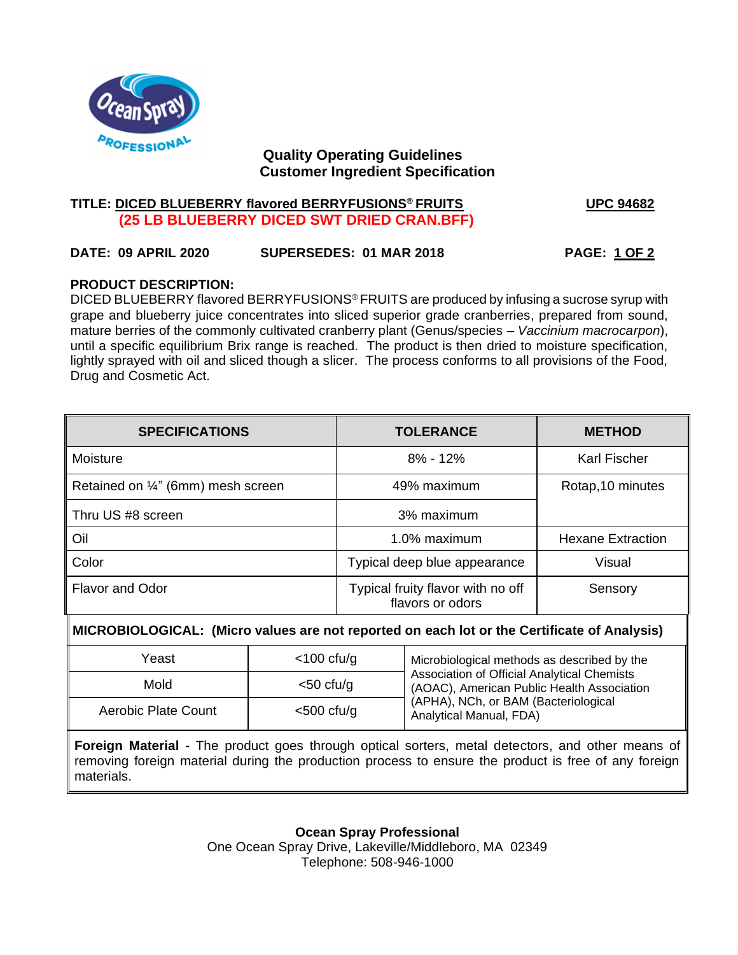

# **Quality Operating Guidelines Customer Ingredient Specification**

# **TITLE: DICED BLUEBERRY flavored BERRYFUSIONS® FRUITS UPC 94682 (25 LB BLUEBERRY DICED SWT DRIED CRAN.BFF)**

# **DATE: 09 APRIL 2020 SUPERSEDES: 01 MAR 2018 PAGE: 1 OF 2**

# **PRODUCT DESCRIPTION:**

DICED BLUEBERRY flavored BERRYFUSIONS® FRUITS are produced by infusing a sucrose syrup with grape and blueberry juice concentrates into sliced superior grade cranberries, prepared from sound, mature berries of the commonly cultivated cranberry plant (Genus/species – *Vaccinium macrocarpon*), until a specific equilibrium Brix range is reached. The product is then dried to moisture specification, lightly sprayed with oil and sliced though a slicer. The process conforms to all provisions of the Food, Drug and Cosmetic Act.

| <b>SPECIFICATIONS</b>              | <b>TOLERANCE</b>                                      | <b>METHOD</b>            |
|------------------------------------|-------------------------------------------------------|--------------------------|
| Moisture                           | $8\% - 12\%$                                          | <b>Karl Fischer</b>      |
| Retained on 1/4" (6mm) mesh screen | 49% maximum                                           | Rotap, 10 minutes        |
| Thru US #8 screen                  | 3% maximum                                            |                          |
| Oil                                | 1.0% maximum                                          | <b>Hexane Extraction</b> |
| Color                              | Typical deep blue appearance                          | Visual                   |
| <b>Flavor and Odor</b>             | Typical fruity flavor with no off<br>flavors or odors | Sensory                  |

# M **MICROBIOLOGICAL: (Micro values are not reported on each lot or the Certificate of Analysis)**

| Yeast                      | $<$ 100 cfu/g | Microbiological methods as described by the                                               |
|----------------------------|---------------|-------------------------------------------------------------------------------------------|
| Mold                       | $<$ 50 cfu/g  | Association of Official Analytical Chemists<br>(AOAC), American Public Health Association |
| <b>Aerobic Plate Count</b> | $<$ 500 cfu/g | (APHA), NCh, or BAM (Bacteriological<br>Analytical Manual, FDA)                           |

**Foreign Material** - The product goes through optical sorters, metal detectors, and other means of removing foreign material during the production process to ensure the product is free of any foreign materials.

> **Ocean Spray Professional** One Ocean Spray Drive, Lakeville/Middleboro, MA 02349 Telephone: 508-946-1000